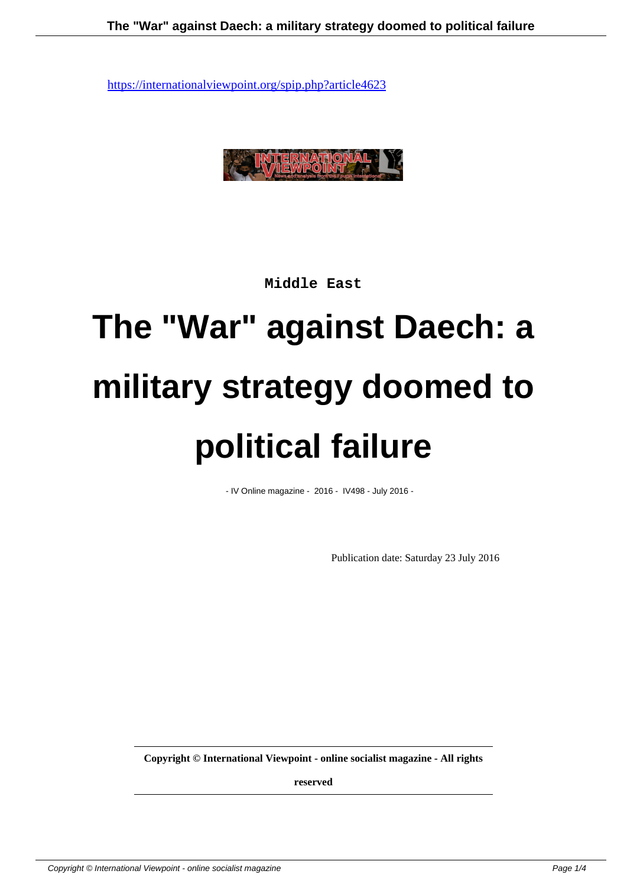

**Middle East**

## **The "War" against Daech: a military strategy doomed to political failure**

- IV Online magazine - 2016 - IV498 - July 2016 -

Publication date: Saturday 23 July 2016

**Copyright © International Viewpoint - online socialist magazine - All rights**

**reserved**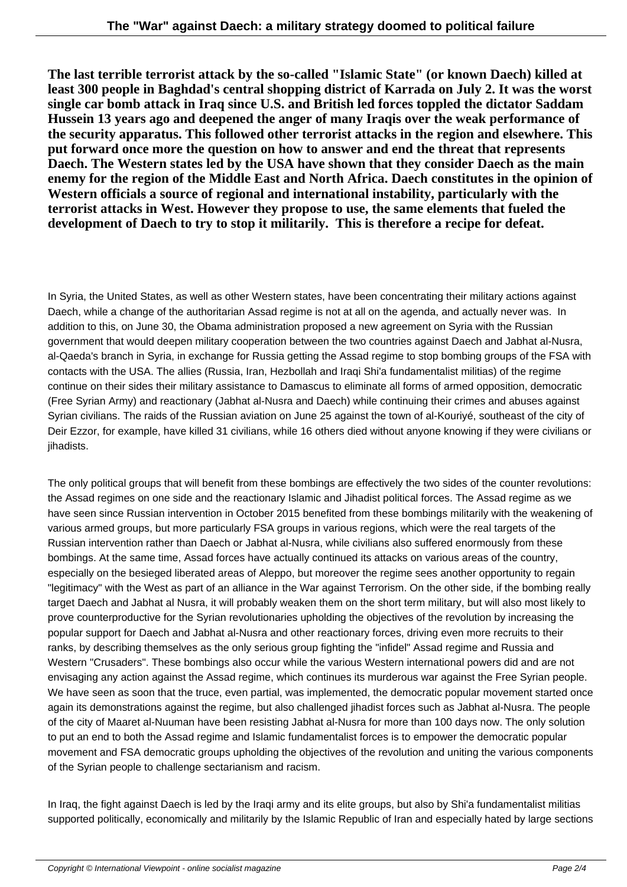**The last terrible terrorist attack by the so-called "Islamic State" (or known Daech) killed at least 300 people in Baghdad's central shopping district of Karrada on July 2. It was the worst single car bomb attack in Iraq since U.S. and British led forces toppled the dictator Saddam Hussein 13 years ago and deepened the anger of many Iraqis over the weak performance of the security apparatus. This followed other terrorist attacks in the region and elsewhere. This put forward once more the question on how to answer and end the threat that represents Daech. The Western states led by the USA have shown that they consider Daech as the main enemy for the region of the Middle East and North Africa. Daech constitutes in the opinion of Western officials a source of regional and international instability, particularly with the terrorist attacks in West. However they propose to use, the same elements that fueled the development of Daech to try to stop it militarily. This is therefore a recipe for defeat.**

In Syria, the United States, as well as other Western states, have been concentrating their military actions against Daech, while a change of the authoritarian Assad regime is not at all on the agenda, and actually never was. In addition to this, on June 30, the Obama administration proposed a new agreement on Syria with the Russian government that would deepen military cooperation between the two countries against Daech and Jabhat al-Nusra, al-Qaeda's branch in Syria, in exchange for Russia getting the Assad regime to stop bombing groups of the FSA with contacts with the USA. The allies (Russia, Iran, Hezbollah and Iraqi Shi'a fundamentalist militias) of the regime continue on their sides their military assistance to Damascus to eliminate all forms of armed opposition, democratic (Free Syrian Army) and reactionary (Jabhat al-Nusra and Daech) while continuing their crimes and abuses against Syrian civilians. The raids of the Russian aviation on June 25 against the town of al-Kouriyé, southeast of the city of Deir Ezzor, for example, have killed 31 civilians, while 16 others died without anyone knowing if they were civilians or jihadists.

The only political groups that will benefit from these bombings are effectively the two sides of the counter revolutions: the Assad regimes on one side and the reactionary Islamic and Jihadist political forces. The Assad regime as we have seen since Russian intervention in October 2015 benefited from these bombings militarily with the weakening of various armed groups, but more particularly FSA groups in various regions, which were the real targets of the Russian intervention rather than Daech or Jabhat al-Nusra, while civilians also suffered enormously from these bombings. At the same time, Assad forces have actually continued its attacks on various areas of the country, especially on the besieged liberated areas of Aleppo, but moreover the regime sees another opportunity to regain "legitimacy" with the West as part of an alliance in the War against Terrorism. On the other side, if the bombing really target Daech and Jabhat al Nusra, it will probably weaken them on the short term military, but will also most likely to prove counterproductive for the Syrian revolutionaries upholding the objectives of the revolution by increasing the popular support for Daech and Jabhat al-Nusra and other reactionary forces, driving even more recruits to their ranks, by describing themselves as the only serious group fighting the "infidel" Assad regime and Russia and Western "Crusaders". These bombings also occur while the various Western international powers did and are not envisaging any action against the Assad regime, which continues its murderous war against the Free Syrian people. We have seen as soon that the truce, even partial, was implemented, the democratic popular movement started once again its demonstrations against the regime, but also challenged jihadist forces such as Jabhat al-Nusra. The people of the city of Maaret al-Nuuman have been resisting Jabhat al-Nusra for more than 100 days now. The only solution to put an end to both the Assad regime and Islamic fundamentalist forces is to empower the democratic popular movement and FSA democratic groups upholding the objectives of the revolution and uniting the various components of the Syrian people to challenge sectarianism and racism.

In Iraq, the fight against Daech is led by the Iraqi army and its elite groups, but also by Shi'a fundamentalist militias supported politically, economically and militarily by the Islamic Republic of Iran and especially hated by large sections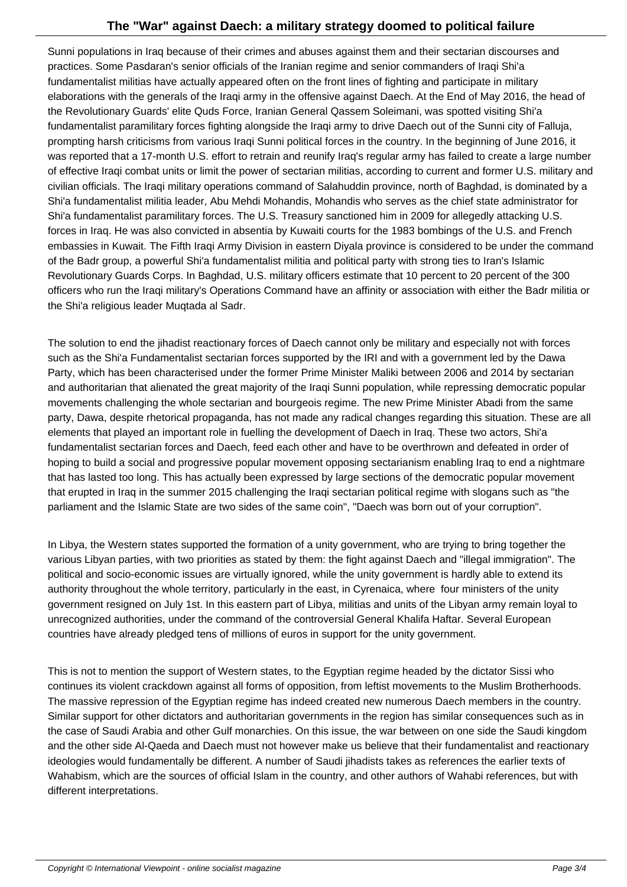Sunni populations in Iraq because of their crimes and abuses against them and their sectarian discourses and practices. Some Pasdaran's senior officials of the Iranian regime and senior commanders of Iraqi Shi'a fundamentalist militias have actually appeared often on the front lines of fighting and participate in military elaborations with the generals of the Iraqi army in the offensive against Daech. At the End of May 2016, the head of the Revolutionary Guards' elite Quds Force, Iranian General Qassem Soleimani, was spotted visiting Shi'a fundamentalist paramilitary forces fighting alongside the Iraqi army to drive Daech out of the Sunni city of Falluja, prompting harsh criticisms from various Iraqi Sunni political forces in the country. In the beginning of June 2016, it was reported that a 17-month U.S. effort to retrain and reunify Iraq's regular army has failed to create a large number of effective Iraqi combat units or limit the power of sectarian militias, according to current and former U.S. military and civilian officials. The Iraqi military operations command of Salahuddin province, north of Baghdad, is dominated by a Shi'a fundamentalist militia leader, Abu Mehdi Mohandis, Mohandis who serves as the chief state administrator for Shi'a fundamentalist paramilitary forces. The U.S. Treasury sanctioned him in 2009 for allegedly attacking U.S. forces in Iraq. He was also convicted in absentia by Kuwaiti courts for the 1983 bombings of the U.S. and French embassies in Kuwait. The Fifth Iraqi Army Division in eastern Diyala province is considered to be under the command of the Badr group, a powerful Shi'a fundamentalist militia and political party with strong ties to Iran's Islamic Revolutionary Guards Corps. In Baghdad, U.S. military officers estimate that 10 percent to 20 percent of the 300 officers who run the Iraqi military's Operations Command have an affinity or association with either the Badr militia or the Shi'a religious leader Muqtada al Sadr.

The solution to end the jihadist reactionary forces of Daech cannot only be military and especially not with forces such as the Shi'a Fundamentalist sectarian forces supported by the IRI and with a government led by the Dawa Party, which has been characterised under the former Prime Minister Maliki between 2006 and 2014 by sectarian and authoritarian that alienated the great majority of the Iraqi Sunni population, while repressing democratic popular movements challenging the whole sectarian and bourgeois regime. The new Prime Minister Abadi from the same party, Dawa, despite rhetorical propaganda, has not made any radical changes regarding this situation. These are all elements that played an important role in fuelling the development of Daech in Iraq. These two actors, Shi'a fundamentalist sectarian forces and Daech, feed each other and have to be overthrown and defeated in order of hoping to build a social and progressive popular movement opposing sectarianism enabling Iraq to end a nightmare that has lasted too long. This has actually been expressed by large sections of the democratic popular movement that erupted in Iraq in the summer 2015 challenging the Iraqi sectarian political regime with slogans such as "the parliament and the Islamic State are two sides of the same coin", "Daech was born out of your corruption".

In Libya, the Western states supported the formation of a unity government, who are trying to bring together the various Libyan parties, with two priorities as stated by them: the fight against Daech and "illegal immigration". The political and socio-economic issues are virtually ignored, while the unity government is hardly able to extend its authority throughout the whole territory, particularly in the east, in Cyrenaica, where four ministers of the unity government resigned on July 1st. In this eastern part of Libya, militias and units of the Libyan army remain loyal to unrecognized authorities, under the command of the controversial General Khalifa Haftar. Several European countries have already pledged tens of millions of euros in support for the unity government.

This is not to mention the support of Western states, to the Egyptian regime headed by the dictator Sissi who continues its violent crackdown against all forms of opposition, from leftist movements to the Muslim Brotherhoods. The massive repression of the Egyptian regime has indeed created new numerous Daech members in the country. Similar support for other dictators and authoritarian governments in the region has similar consequences such as in the case of Saudi Arabia and other Gulf monarchies. On this issue, the war between on one side the Saudi kingdom and the other side Al-Qaeda and Daech must not however make us believe that their fundamentalist and reactionary ideologies would fundamentally be different. A number of Saudi jihadists takes as references the earlier texts of Wahabism, which are the sources of official Islam in the country, and other authors of Wahabi references, but with different interpretations.